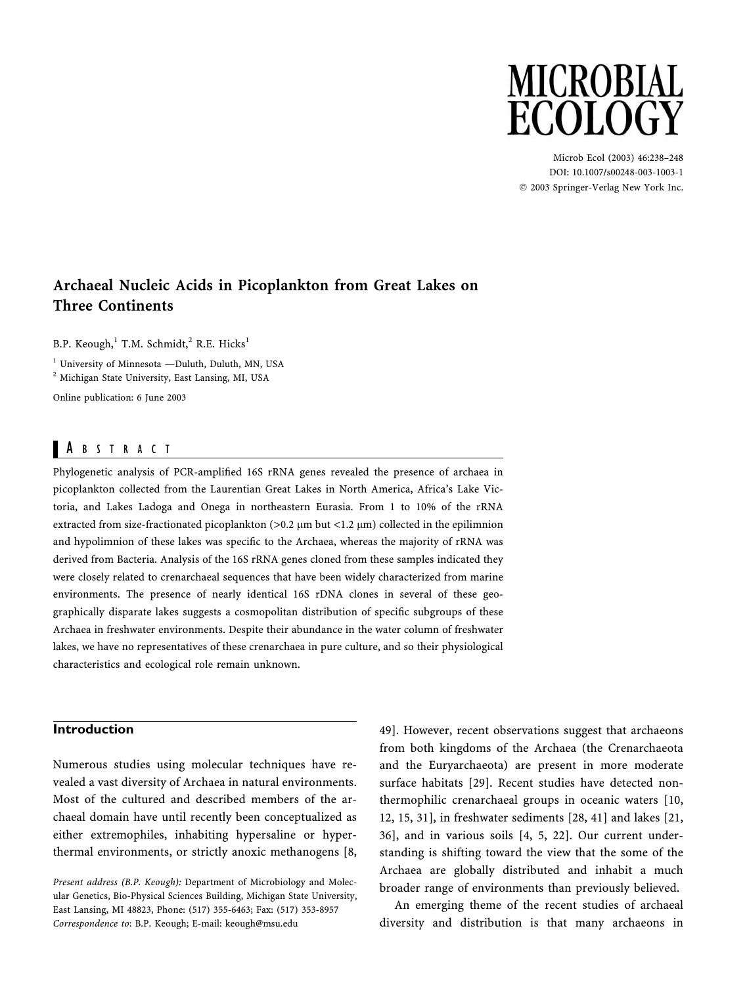# **MICROBIAL ECOLOGY**

Microb Ecol (2003) 46:238–248 DOI: 10.1007/s00248-003-1003-1 2003 Springer-Verlag New York Inc.

## Archaeal Nucleic Acids in Picoplankton from Great Lakes on Three Continents

B.P. Keough,<sup>1</sup> T.M. Schmidt,<sup>2</sup> R.E. Hicks<sup>1</sup>

<sup>1</sup> University of Minnesota —Duluth, Duluth, MN, USA

<sup>2</sup> Michigan State University, East Lansing, MI, USA

Online publication: 6 June 2003

## A BSTRACT

Phylogenetic analysis of PCR-amplified 16S rRNA genes revealed the presence of archaea in picoplankton collected from the Laurentian Great Lakes in North America, Africa's Lake Victoria, and Lakes Ladoga and Onega in northeastern Eurasia. From 1 to 10% of the rRNA extracted from size-fractionated picoplankton  $(>0.2 \mu m)$  but <1.2  $\mu$ m) collected in the epilimnion and hypolimnion of these lakes was specific to the Archaea, whereas the majority of rRNA was derived from Bacteria. Analysis of the 16S rRNA genes cloned from these samples indicated they were closely related to crenarchaeal sequences that have been widely characterized from marine environments. The presence of nearly identical 16S rDNA clones in several of these geographically disparate lakes suggests a cosmopolitan distribution of specific subgroups of these Archaea in freshwater environments. Despite their abundance in the water column of freshwater lakes, we have no representatives of these crenarchaea in pure culture, and so their physiological characteristics and ecological role remain unknown.

## Introduction

Numerous studies using molecular techniques have revealed a vast diversity of Archaea in natural environments. Most of the cultured and described members of the archaeal domain have until recently been conceptualized as either extremophiles, inhabiting hypersaline or hyperthermal environments, or strictly anoxic methanogens [8,

Present address (B.P. Keough): Department of Microbiology and Molecular Genetics, Bio-Physical Sciences Building, Michigan State University, East Lansing, MI 48823, Phone: (517) 355-6463; Fax: (517) 353-8957 Correspondence to: B.P. Keough; E-mail: keough@msu.edu

49]. However, recent observations suggest that archaeons from both kingdoms of the Archaea (the Crenarchaeota and the Euryarchaeota) are present in more moderate surface habitats [29]. Recent studies have detected nonthermophilic crenarchaeal groups in oceanic waters [10, 12, 15, 31], in freshwater sediments [28, 41] and lakes [21, 36], and in various soils [4, 5, 22]. Our current understanding is shifting toward the view that the some of the Archaea are globally distributed and inhabit a much broader range of environments than previously believed.

An emerging theme of the recent studies of archaeal diversity and distribution is that many archaeons in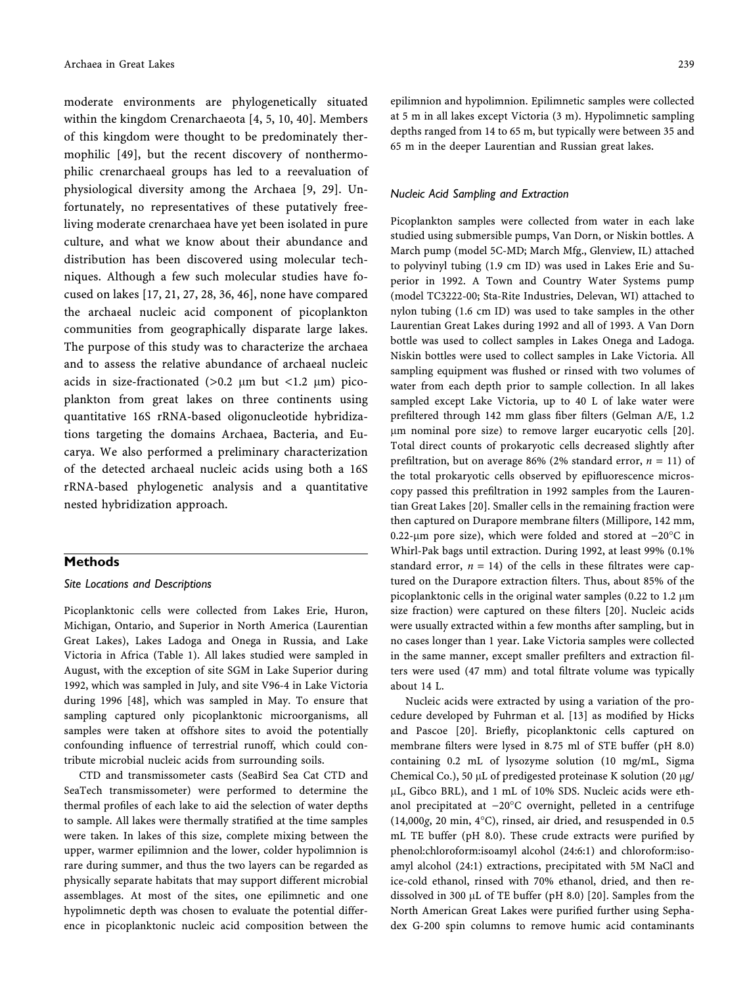moderate environments are phylogenetically situated within the kingdom Crenarchaeota [4, 5, 10, 40]. Members of this kingdom were thought to be predominately thermophilic [49], but the recent discovery of nonthermophilic crenarchaeal groups has led to a reevaluation of physiological diversity among the Archaea [9, 29]. Unfortunately, no representatives of these putatively freeliving moderate crenarchaea have yet been isolated in pure culture, and what we know about their abundance and distribution has been discovered using molecular techniques. Although a few such molecular studies have focused on lakes [17, 21, 27, 28, 36, 46], none have compared the archaeal nucleic acid component of picoplankton communities from geographically disparate large lakes. The purpose of this study was to characterize the archaea and to assess the relative abundance of archaeal nucleic acids in size-fractionated  $(>0.2 \mu m)$  but <1.2  $\mu$ m) picoplankton from great lakes on three continents using quantitative 16S rRNA-based oligonucleotide hybridizations targeting the domains Archaea, Bacteria, and Eucarya. We also performed a preliminary characterization of the detected archaeal nucleic acids using both a 16S rRNA-based phylogenetic analysis and a quantitative nested hybridization approach.

#### Methods

#### Site Locations and Descriptions

Picoplanktonic cells were collected from Lakes Erie, Huron, Michigan, Ontario, and Superior in North America (Laurentian Great Lakes), Lakes Ladoga and Onega in Russia, and Lake Victoria in Africa (Table 1). All lakes studied were sampled in August, with the exception of site SGM in Lake Superior during 1992, which was sampled in July, and site V96-4 in Lake Victoria during 1996 [48], which was sampled in May. To ensure that sampling captured only picoplanktonic microorganisms, all samples were taken at offshore sites to avoid the potentially confounding influence of terrestrial runoff, which could contribute microbial nucleic acids from surrounding soils.

CTD and transmissometer casts (SeaBird Sea Cat CTD and SeaTech transmissometer) were performed to determine the thermal profiles of each lake to aid the selection of water depths to sample. All lakes were thermally stratified at the time samples were taken. In lakes of this size, complete mixing between the upper, warmer epilimnion and the lower, colder hypolimnion is rare during summer, and thus the two layers can be regarded as physically separate habitats that may support different microbial assemblages. At most of the sites, one epilimnetic and one hypolimnetic depth was chosen to evaluate the potential difference in picoplanktonic nucleic acid composition between the epilimnion and hypolimnion. Epilimnetic samples were collected at 5 m in all lakes except Victoria (3 m). Hypolimnetic sampling depths ranged from 14 to 65 m, but typically were between 35 and 65 m in the deeper Laurentian and Russian great lakes.

#### Nucleic Acid Sampling and Extraction

Picoplankton samples were collected from water in each lake studied using submersible pumps, Van Dorn, or Niskin bottles. A March pump (model 5C-MD; March Mfg., Glenview, IL) attached to polyvinyl tubing (1.9 cm ID) was used in Lakes Erie and Superior in 1992. A Town and Country Water Systems pump (model TC3222-00; Sta-Rite Industries, Delevan, WI) attached to nylon tubing (1.6 cm ID) was used to take samples in the other Laurentian Great Lakes during 1992 and all of 1993. A Van Dorn bottle was used to collect samples in Lakes Onega and Ladoga. Niskin bottles were used to collect samples in Lake Victoria. All sampling equipment was flushed or rinsed with two volumes of water from each depth prior to sample collection. In all lakes sampled except Lake Victoria, up to 40 L of lake water were prefiltered through 142 mm glass fiber filters (Gelman A/E, 1.2 lm nominal pore size) to remove larger eucaryotic cells [20]. Total direct counts of prokaryotic cells decreased slightly after prefiltration, but on average 86% (2% standard error,  $n = 11$ ) of the total prokaryotic cells observed by epifluorescence microscopy passed this prefiltration in 1992 samples from the Laurentian Great Lakes [20]. Smaller cells in the remaining fraction were then captured on Durapore membrane filters (Millipore, 142 mm, 0.22-µm pore size), which were folded and stored at  $-20^{\circ}$ C in Whirl-Pak bags until extraction. During 1992, at least 99% (0.1% standard error,  $n = 14$ ) of the cells in these filtrates were captured on the Durapore extraction filters. Thus, about 85% of the picoplanktonic cells in the original water samples  $(0.22 \text{ to } 1.2 \mu\text{m})$ size fraction) were captured on these filters [20]. Nucleic acids were usually extracted within a few months after sampling, but in no cases longer than 1 year. Lake Victoria samples were collected in the same manner, except smaller prefilters and extraction filters were used (47 mm) and total filtrate volume was typically about 14 L.

Nucleic acids were extracted by using a variation of the procedure developed by Fuhrman et al. [13] as modified by Hicks and Pascoe [20]. Briefly, picoplanktonic cells captured on membrane filters were lysed in 8.75 ml of STE buffer (pH 8.0) containing 0.2 mL of lysozyme solution (10 mg/mL, Sigma Chemical Co.), 50  $\mu$ L of predigested proteinase K solution (20  $\mu$ g/ µL, Gibco BRL), and 1 mL of 10% SDS. Nucleic acids were ethanol precipitated at -20°C overnight, pelleted in a centrifuge  $(14,000g, 20$  min,  $4^{\circ}$ C), rinsed, air dried, and resuspended in 0.5 mL TE buffer (pH 8.0). These crude extracts were purified by phenol:chloroform:isoamyl alcohol (24:6:1) and chloroform:isoamyl alcohol (24:1) extractions, precipitated with 5M NaCl and ice-cold ethanol, rinsed with 70% ethanol, dried, and then redissolved in 300  $\mu$ L of TE buffer (pH 8.0) [20]. Samples from the North American Great Lakes were purified further using Sephadex G-200 spin columns to remove humic acid contaminants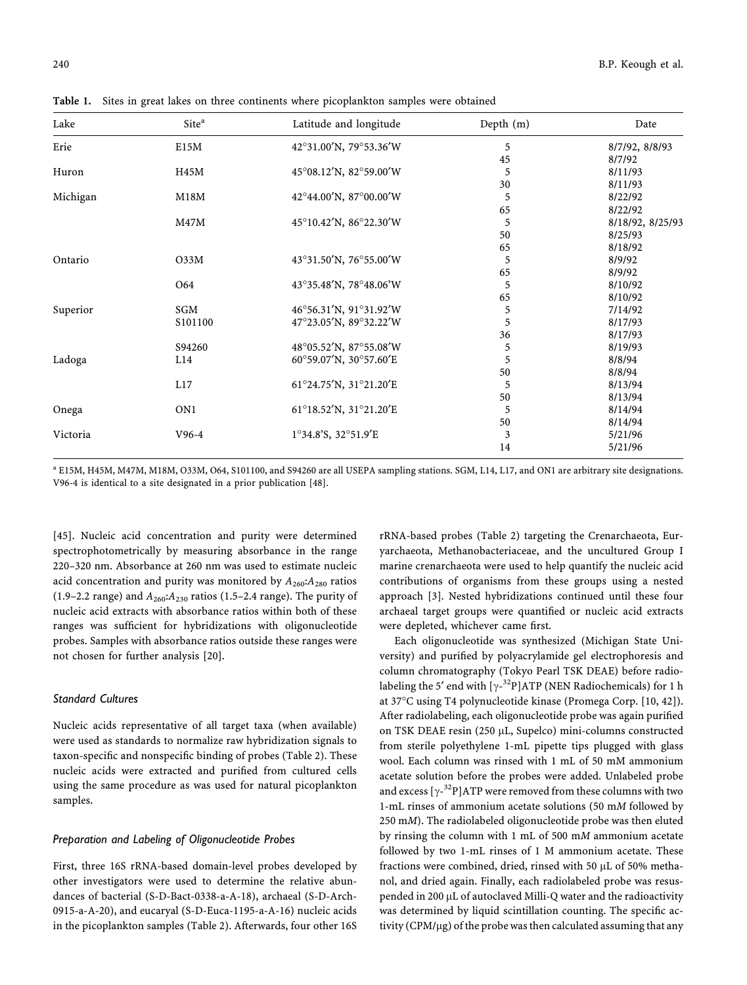|  | <b>Table 1.</b> Sites in great lakes on three continents where picoplankton samples were obtained |  |  |  |  |  |  |  |  |  |
|--|---------------------------------------------------------------------------------------------------|--|--|--|--|--|--|--|--|--|
|--|---------------------------------------------------------------------------------------------------|--|--|--|--|--|--|--|--|--|

| Lake     | Site <sup>a</sup> | Latitude and longitude | Depth (m) | Date             |
|----------|-------------------|------------------------|-----------|------------------|
| Erie     | E15M              | 42°31.00'N, 79°53.36'W | 5         | 8/7/92, 8/8/93   |
|          |                   |                        | 45        | 8/7/92           |
| Huron    | H45M              | 45°08.12'N, 82°59.00'W | 5         | 8/11/93          |
|          |                   |                        | 30        | 8/11/93          |
| Michigan | M18M              | 42°44.00'N, 87°00.00'W | 5         | 8/22/92          |
|          |                   |                        | 65        | 8/22/92          |
|          | M47M              | 45°10.42'N, 86°22.30'W | 5         | 8/18/92, 8/25/93 |
|          |                   |                        | 50        | 8/25/93          |
|          |                   |                        | 65        | 8/18/92          |
| Ontario  | 033M              | 43°31.50'N, 76°55.00'W | 5         | 8/9/92           |
|          |                   |                        | 65        | 8/9/92           |
|          | O <sub>64</sub>   | 43°35.48'N, 78°48.06'W | 5         | 8/10/92          |
|          |                   |                        | 65        | 8/10/92          |
| Superior | SGM               | 46°56.31'N, 91°31.92'W | 5         | 7/14/92          |
|          | S101100           | 47°23.05'N, 89°32.22'W | 5         | 8/17/93          |
|          |                   |                        | 36        | 8/17/93          |
|          | S94260            | 48°05.52'N, 87°55.08'W | 5         | 8/19/93          |
| Ladoga   | L14               | 60°59.07'N, 30°57.60'E | 5         | 8/8/94           |
|          |                   |                        | 50        | 8/8/94           |
|          | L17               | 61°24.75'N, 31°21.20'E | 5         | 8/13/94          |
|          |                   |                        | 50        | 8/13/94          |
| Onega    | ON <sub>1</sub>   | 61°18.52'N, 31°21.20'E | 5         | 8/14/94          |
|          |                   |                        | 50        | 8/14/94          |
| Victoria | $V96-4$           | 1°34.8'S, 32°51.9'E    | 3         | 5/21/96          |
|          |                   |                        | 14        | 5/21/96          |

<sup>a</sup> E15M, H45M, M47M, M18M, O33M, O64, S101100, and S94260 are all USEPA sampling stations. SGM, L14, L17, and ON1 are arbitrary site designations. V96-4 is identical to a site designated in a prior publication [48].

[45]. Nucleic acid concentration and purity were determined spectrophotometrically by measuring absorbance in the range 220–320 nm. Absorbance at 260 nm was used to estimate nucleic acid concentration and purity was monitored by  $A_{260}$ : $A_{280}$  ratios (1.9–2.2 range) and  $A_{260}$ : $A_{230}$  ratios (1.5–2.4 range). The purity of nucleic acid extracts with absorbance ratios within both of these ranges was sufficient for hybridizations with oligonucleotide probes. Samples with absorbance ratios outside these ranges were not chosen for further analysis [20].

#### Standard Cultures

Nucleic acids representative of all target taxa (when available) were used as standards to normalize raw hybridization signals to taxon-specific and nonspecific binding of probes (Table 2). These nucleic acids were extracted and purified from cultured cells using the same procedure as was used for natural picoplankton samples.

#### Preparation and Labeling of Oligonucleotide Probes

First, three 16S rRNA-based domain-level probes developed by other investigators were used to determine the relative abundances of bacterial (S-D-Bact-0338-a-A-18), archaeal (S-D-Arch-0915-a-A-20), and eucaryal (S-D-Euca-1195-a-A-16) nucleic acids in the picoplankton samples (Table 2). Afterwards, four other 16S rRNA-based probes (Table 2) targeting the Crenarchaeota, Euryarchaeota, Methanobacteriaceae, and the uncultured Group I marine crenarchaeota were used to help quantify the nucleic acid contributions of organisms from these groups using a nested approach [3]. Nested hybridizations continued until these four archaeal target groups were quantified or nucleic acid extracts were depleted, whichever came first.

Each oligonucleotide was synthesized (Michigan State University) and purified by polyacrylamide gel electrophoresis and column chromatography (Tokyo Pearl TSK DEAE) before radiolabeling the 5 $^{\prime}$  end with [ $\gamma$ - $^{32}$ P]ATP (NEN Radiochemicals) for 1 h at 37°C using T4 polynucleotide kinase (Promega Corp. [10, 42]). After radiolabeling, each oligonucleotide probe was again purified on TSK DEAE resin (250 µL, Supelco) mini-columns constructed from sterile polyethylene 1-mL pipette tips plugged with glass wool. Each column was rinsed with 1 mL of 50 mM ammonium acetate solution before the probes were added. Unlabeled probe and excess  $[\gamma$ <sup>-32</sup>P]ATP were removed from these columns with two 1-mL rinses of ammonium acetate solutions (50 mM followed by 250 mM). The radiolabeled oligonucleotide probe was then eluted by rinsing the column with 1 mL of 500 mM ammonium acetate followed by two 1-mL rinses of 1 M ammonium acetate. These fractions were combined, dried, rinsed with 50 µL of 50% methanol, and dried again. Finally, each radiolabeled probe was resuspended in 200 µL of autoclaved Milli-Q water and the radioactivity was determined by liquid scintillation counting. The specific activity (CPM/µg) of the probe was then calculated assuming that any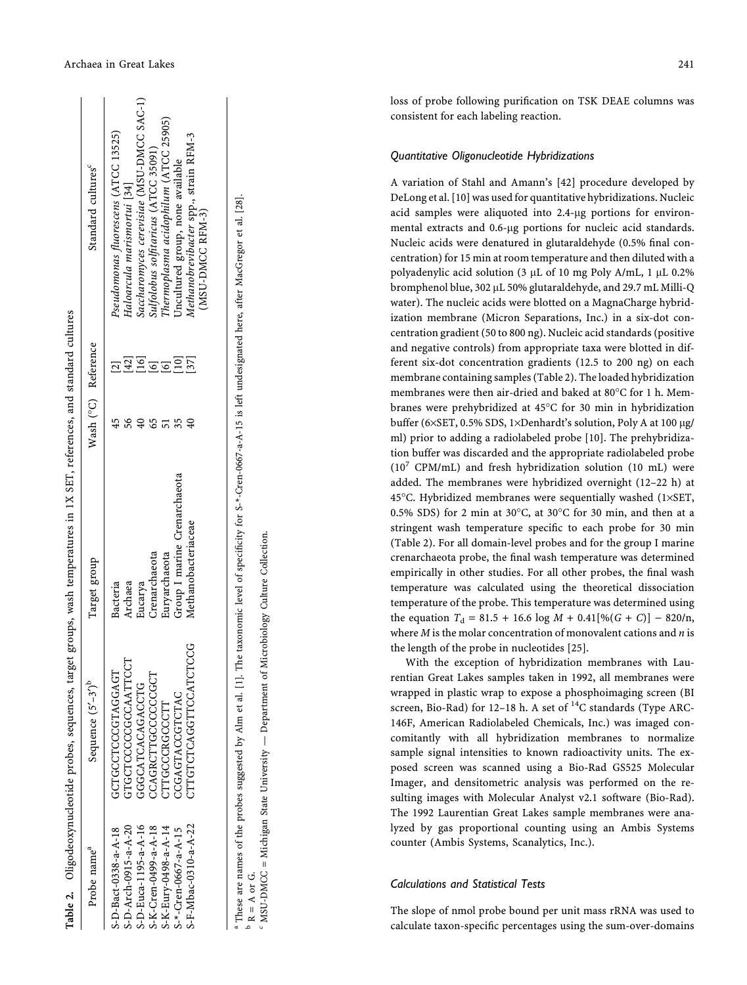| Probe name <sup>a</sup>   | Sequence $(5' - 3')^b$  | Target group                 | Wash (°C) Reference |                 | Standard cultures <sup>c</sup>                            |
|---------------------------|-------------------------|------------------------------|---------------------|-----------------|-----------------------------------------------------------|
| S-D-Bact-0338-a-A-18      | GCTGCCTCOODLAGH         | Bacteria                     |                     |                 | Pseudomonas fluorescens (ATCC 13525)                      |
| S-D-Arch-0915-a-A-20      | GTGCTCCCCGCAATTCCT      | Archaea                      |                     | 42]             | Haloarcula marismortui [34]                               |
| S-D-Euca-1195-a-A-16      | GGGATCACAGACTG          | Eucarya                      |                     |                 | Saccharomyces cerevisiae (MSU-DMCC SAC-1)                 |
| S-K-Cren-0499-a-A-18      | CAGRCTTGCCCCGCT         | Crenarchaeota                |                     |                 | Sulfolobus solfitaricus (ATCC 35091)                      |
| S-K-Eury-0498-a-A-14      | <b>TTOCCCRGCCCTT</b>    | Euryarchaeota                |                     |                 | 'hermoplasma acidophilum (ATCC 25905)                     |
| $S^{-*}-Cren-0667-a-A-15$ | CGAGTACCTCTAC           | Group I marine Crenarchaeota |                     | 10 <sub>1</sub> | Uncultured group, none available                          |
| S-F-Mbac-0310-a-A-22      | <b>PICTCLOGET CAGES</b> | Methanobacteriaceae          |                     | [37]            | Methanobrevibacter spp., strain RFM-3<br>(MSU-DMCC RFM-3) |

 $^{\rm b}$  R = A or G.  $R = A$  or G.

 MSU-DMCC = Michigan State University — Department of Microbiology Culture Collection. MSU-DMCC = Michigan State University - Department of Microbiology Culture Collection. c

loss of probe following puri fication on TSK DEAE columns was consistent for each labeling reaction.

## Quantitative Oligonucleotide Hybridizations

A variation of Stahl and Amann 's [42] procedure developed by DeLong et al. [10] was used for quantitative hybridizations. Nucleic acid samples were aliquoted into 2.4- lg portions for environmental extracts and 0.6-µg portions for nucleic acid standards. Nucleic acids were denatured in glutaraldehyde (0.5% final concentration) for 15 min at room temperature and then diluted with a polyadenylic acid solution (3 µL of 10 mg Poly A/mL, 1 µL 0.2% bromphenol blue, 302 lL 50% glutaraldehyde, and 29.7 mL Milli-Q water). The nucleic acids were blotted on a MagnaCharge hybridization membrane (Micron Separations, Inc.) in a six-dot concentration gradient (50 to 800 ng). Nucleic acid standards (positive and negative controls) from appropriate taxa were blotted in different six-dot concentration gradients (12.5 to 200 ng) on each membrane containing samples (Table 2). The loaded hybridization membranes were then air-dried and baked at 80°C for 1 h. Membranes were prehybridized at 45°C for 30 min in hybridization buffer (6×SET, 0.5% SDS, 1×Denhardt's solution, Poly A at 100 µg/ ml) prior to adding a radiolabeled probe [10]. The prehybridization buffer was discarded and the appropriate radiolabeled probe (10 <sup>7</sup> CPM/mL) and fresh hybridization solution (10 mL) were added. The membranes were hybridized overnight (12 –22 h) at 45°C. Hybridized membranes were sequentially washed (1×SET, 0.5% SDS) for 2 min at 30 $^{\circ}$ C, at 30 $^{\circ}$ C for 30 min, and then at a stringent wash temperature speci fic to each probe for 30 min (Table 2). For all domain-level probes and for the group I marine crenarchaeota probe, the final wash temperature was determined empirically in other studies. For all other probes, the final wash temperature was calculated using the theoretical dissociation temperature of the probe. This temperature was determined using the equation  $T_d = 81.5 + 16.6 \log M + 0.41[\%(G + C)] - 820/n,$ where  $M$  is the molar concentration of monovalent cations and  $n$  is the length of the probe in nucleotides [25].

With the exception of hybridization membranes with Laurentian Great Lakes samples taken in 1992, all membranes were wrapped in plastic wrap to expose a phosphoimaging screen (BI screen, Bio-Rad) for 12-18 h. A set of <sup>14</sup>C standards (Type ARC-146F, American Radiolabeled Chemicals, Inc.) was imaged concomitantly with all hybridization membranes to normalize sample signal intensities to known radioactivity units. The exposed screen was scanned using a Bio-Rad GS525 Molecular Imager, and densitometric analysis was performed on the resulting images with Molecular Analyst v2.1 software (Bio-Rad). The 1992 Laurentian Great Lakes sample membranes were analyzed by gas proportional counting using an Ambis Systems counter (Ambis Systems, Scanalytics, Inc.).

## Calculations and Statistical Tests

The slope of nmol probe bound per unit mass rRNA was used to calculate taxon-speci fic percentages using the sum-over-domains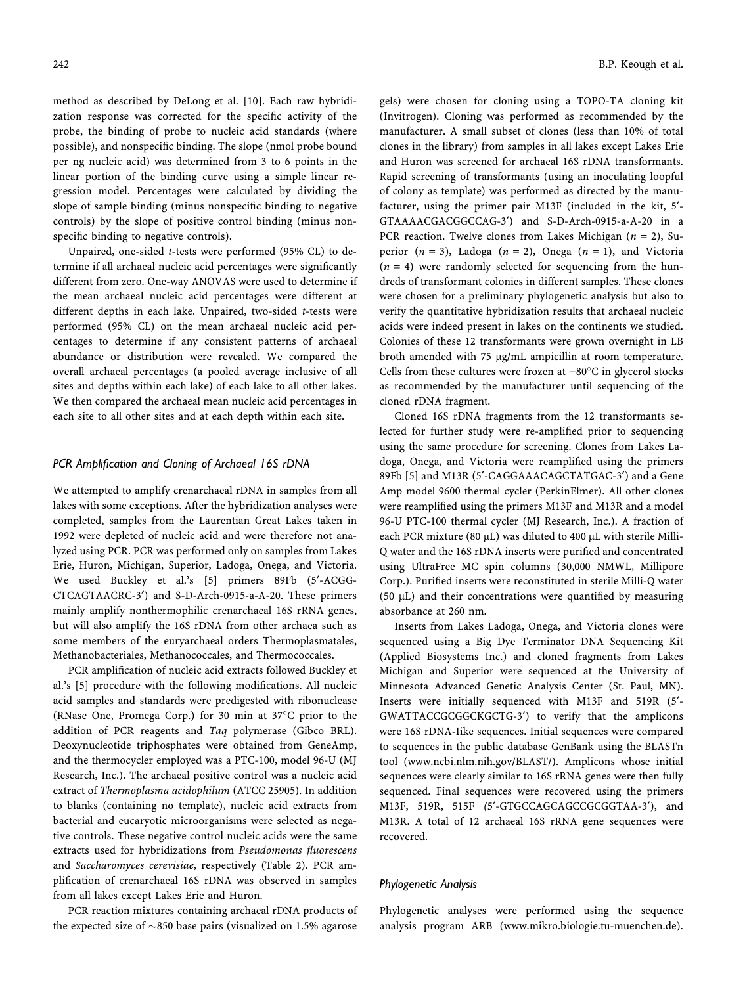method as described by DeLong et al. [10]. Each raw hybridization response was corrected for the specific activity of the probe, the binding of probe to nucleic acid standards (where possible), and nonspecific binding. The slope (nmol probe bound per ng nucleic acid) was determined from 3 to 6 points in the linear portion of the binding curve using a simple linear regression model. Percentages were calculated by dividing the slope of sample binding (minus nonspecific binding to negative controls) by the slope of positive control binding (minus nonspecific binding to negative controls).

Unpaired, one-sided t-tests were performed (95% CL) to determine if all archaeal nucleic acid percentages were significantly different from zero. One-way ANOVAS were used to determine if the mean archaeal nucleic acid percentages were different at different depths in each lake. Unpaired, two-sided t-tests were performed (95% CL) on the mean archaeal nucleic acid percentages to determine if any consistent patterns of archaeal abundance or distribution were revealed. We compared the overall archaeal percentages (a pooled average inclusive of all sites and depths within each lake) of each lake to all other lakes. We then compared the archaeal mean nucleic acid percentages in each site to all other sites and at each depth within each site.

#### PCR Amplification and Cloning of Archaeal 16S rDNA

We attempted to amplify crenarchaeal rDNA in samples from all lakes with some exceptions. After the hybridization analyses were completed, samples from the Laurentian Great Lakes taken in 1992 were depleted of nucleic acid and were therefore not analyzed using PCR. PCR was performed only on samples from Lakes Erie, Huron, Michigan, Superior, Ladoga, Onega, and Victoria. We used Buckley et al.'s [5] primers 89Fb (5'-ACGG-CTCAGTAACRC-3¢) and S-D-Arch-0915-a-A-20. These primers mainly amplify nonthermophilic crenarchaeal 16S rRNA genes, but will also amplify the 16S rDNA from other archaea such as some members of the euryarchaeal orders Thermoplasmatales, Methanobacteriales, Methanococcales, and Thermococcales.

PCR amplification of nucleic acid extracts followed Buckley et al.'s [5] procedure with the following modifications. All nucleic acid samples and standards were predigested with ribonuclease (RNase One, Promega Corp.) for 30 min at 37°C prior to the addition of PCR reagents and Taq polymerase (Gibco BRL). Deoxynucleotide triphosphates were obtained from GeneAmp, and the thermocycler employed was a PTC-100, model 96-U (MJ Research, Inc.). The archaeal positive control was a nucleic acid extract of Thermoplasma acidophilum (ATCC 25905). In addition to blanks (containing no template), nucleic acid extracts from bacterial and eucaryotic microorganisms were selected as negative controls. These negative control nucleic acids were the same extracts used for hybridizations from Pseudomonas fluorescens and Saccharomyces cerevisiae, respectively (Table 2). PCR amplification of crenarchaeal 16S rDNA was observed in samples from all lakes except Lakes Erie and Huron.

PCR reaction mixtures containing archaeal rDNA products of the expected size of  $\sim$ 850 base pairs (visualized on 1.5% agarose

gels) were chosen for cloning using a TOPO-TA cloning kit (Invitrogen). Cloning was performed as recommended by the manufacturer. A small subset of clones (less than 10% of total clones in the library) from samples in all lakes except Lakes Erie and Huron was screened for archaeal 16S rDNA transformants. Rapid screening of transformants (using an inoculating loopful of colony as template) was performed as directed by the manufacturer, using the primer pair M13F (included in the kit, 5'-GTAAAACGACGGCCAG-3¢) and S-D-Arch-0915-a-A-20 in a PCR reaction. Twelve clones from Lakes Michigan ( $n = 2$ ), Superior  $(n = 3)$ , Ladoga  $(n = 2)$ , Onega  $(n = 1)$ , and Victoria  $(n = 4)$  were randomly selected for sequencing from the hundreds of transformant colonies in different samples. These clones were chosen for a preliminary phylogenetic analysis but also to verify the quantitative hybridization results that archaeal nucleic acids were indeed present in lakes on the continents we studied. Colonies of these 12 transformants were grown overnight in LB broth amended with 75 µg/mL ampicillin at room temperature. Cells from these cultures were frozen at  $-80^{\circ}$ C in glycerol stocks as recommended by the manufacturer until sequencing of the cloned rDNA fragment.

Cloned 16S rDNA fragments from the 12 transformants selected for further study were re-amplified prior to sequencing using the same procedure for screening. Clones from Lakes Ladoga, Onega, and Victoria were reamplified using the primers 89Fb [5] and M13R (5'-CAGGAAACAGCTATGAC-3') and a Gene Amp model 9600 thermal cycler (PerkinElmer). All other clones were reamplified using the primers M13F and M13R and a model 96-U PTC-100 thermal cycler (MJ Research, Inc.). A fraction of each PCR mixture (80  $\mu$ L) was diluted to 400  $\mu$ L with sterile Milli-Q water and the 16S rDNA inserts were purified and concentrated using UltraFree MC spin columns (30,000 NMWL, Millipore Corp.). Purified inserts were reconstituted in sterile Milli-Q water (50  $\mu$ L) and their concentrations were quantified by measuring absorbance at 260 nm.

Inserts from Lakes Ladoga, Onega, and Victoria clones were sequenced using a Big Dye Terminator DNA Sequencing Kit (Applied Biosystems Inc.) and cloned fragments from Lakes Michigan and Superior were sequenced at the University of Minnesota Advanced Genetic Analysis Center (St. Paul, MN). Inserts were initially sequenced with M13F and 519R (5'-GWATTACCGCGGCKGCTG-3') to verify that the amplicons were 16S rDNA-Iike sequences. Initial sequences were compared to sequences in the public database GenBank using the BLASTn tool (www.ncbi.nlm.nih.gov/BLAST/). Amplicons whose initial sequences were clearly similar to 16S rRNA genes were then fully sequenced. Final sequences were recovered using the primers M13F, 519R, 515F (5'-GTGCCAGCAGCCGCGGTAA-3'), and M13R. A total of 12 archaeal 16S rRNA gene sequences were recovered.

#### Phylogenetic Analysis

Phylogenetic analyses were performed using the sequence analysis program ARB (www.mikro.biologie.tu-muenchen.de).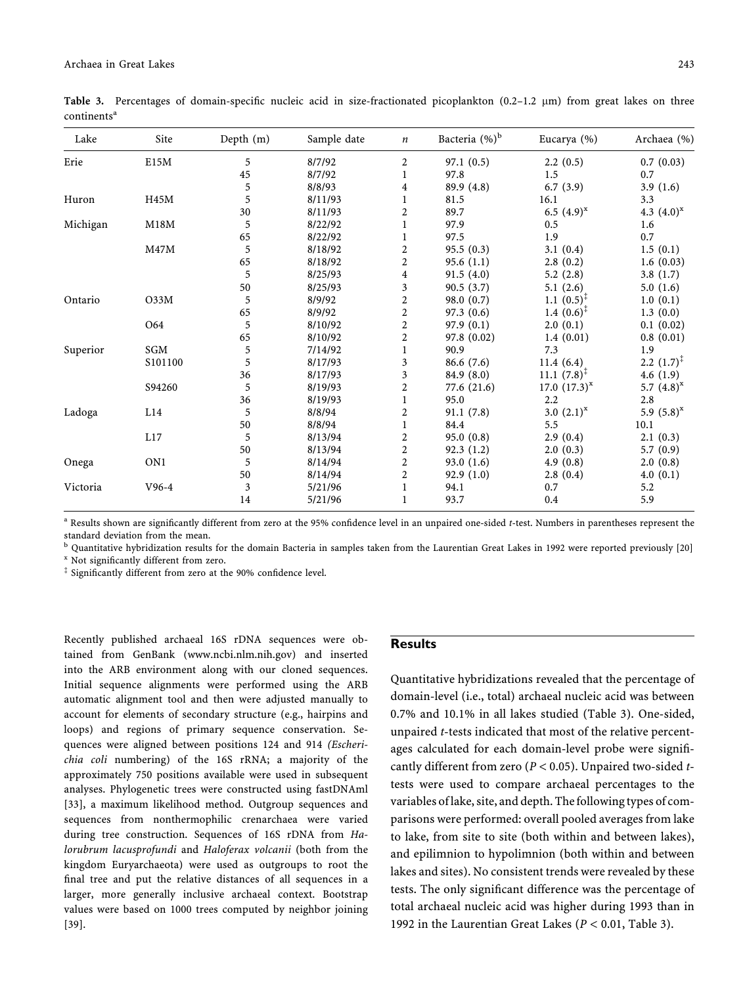| E15M<br>5<br>8/7/92<br>$\overline{2}$<br>97.1(0.5)<br>2.2(0.5)<br>0.7(0.03)<br>Erie<br>45<br>8/7/92<br>97.8<br>1.5<br>0.7<br>1<br>6.7(3.9)<br>5<br>8/8/93<br>89.9 (4.8)<br>3.9(1.6)<br>4<br>5<br>Huron<br>H45M<br>8/11/93<br>16.1<br>3.3<br>$\mathbf{1}$<br>81.5<br>6.5 $(4.9)^{x}$<br>30<br>2<br>89.7<br>4.3 $(4.0)^{x}$<br>8/11/93<br>Michigan<br>M18M<br>5<br>8/22/92<br>97.9<br>0.5<br>1<br>1.6<br>65<br>0.7<br>97.5<br>1.9<br>8/22/92<br>1<br>5<br>M47M<br>2<br>95.5 (0.3)<br>8/18/92<br>3.1(0.4)<br>1.5(0.1)<br>2<br>65<br>95.6(1.1)<br>2.8(0.2)<br>8/18/92<br>1.6(0.03)<br>5<br>8/25/93<br>91.5(4.0)<br>5.2(2.8)<br>3.8(1.7)<br>4<br>3<br>50<br>90.5(3.7)<br>8/25/93<br>5.1(2.6)<br>5.0(1.6)<br>5<br>2<br>$1.1~(0.5)^{\ddagger}$<br>O33M<br>8/9/92<br>98.0(0.7)<br>Ontario<br>1.0(0.1)<br>$\boldsymbol{2}$<br>97.3 (0.6)<br>1.4 $(0.6)^{\ddagger}$<br>8/9/92<br>1.3(0.0)<br>65<br>5<br>2<br>O64<br>8/10/92<br>97.9(0.1)<br>2.0(0.1)<br>0.1(0.02)<br>65<br>2<br>8/10/92<br>97.8 (0.02)<br>1.4(0.01)<br>0.8(0.01)<br>SGM<br>5<br>Superior<br>$\mathbf{1}$<br>90.9<br>7.3<br>1.9<br>7/14/92<br>5<br>2.2 $(1.7)^{T}$<br>S101100<br>8/17/93<br>3<br>86.6(7.6)<br>11.4(6.4)<br>$11.1 (7.8)^{T}$<br>36<br>3<br>84.9 (8.0)<br>4.6(1.9)<br>8/17/93<br>5<br>$\overline{\mathbf{c}}$<br>S94260<br>77.6 (21.6)<br>17.0 $(17.3)^{x}$<br>8/19/93<br>5.7 $(4.8)^{x}$<br>36<br>95.0<br>2.2<br>2.8<br>8/19/93<br>$\mathbf{1}$<br>5<br>L14<br>2<br>3.0 $(2.1)^{x}$<br>5.9 $(5.8)^{x}$<br>Ladoga<br>8/8/94<br>91.1(7.8)<br>84.4<br>5.5<br>10.1<br>50<br>8/8/94<br>$\mathbf{1}$<br>5<br>2<br>L17<br>95.0(0.8)<br>2.9(0.4)<br>8/13/94<br>2.1(0.3)<br>$\overline{\mathbf{c}}$<br>50<br>8/13/94<br>92.3(1.2)<br>2.0(0.3)<br>5.7(0.9)<br>$\overline{\mathbf{c}}$<br>ON1<br>5<br>93.0(1.6)<br>Onega<br>8/14/94<br>4.9(0.8)<br>2.0(0.8)<br>$\overline{c}$<br>50<br>8/14/94<br>92.9(1.0)<br>2.8(0.4)<br>4.0(0.1)<br>$V96-4$<br>3<br>0.7<br>5.2<br>5/21/96<br>94.1<br>Victoria<br>$\mathbf{1}$<br>93.7<br>5.9<br>14<br>5/21/96<br>$\mathbf{1}$<br>0.4 | Lake | Site | Depth (m) | Sample date | $\boldsymbol{n}$ | Bacteria (%) <sup>b</sup> | Eucarya (%) | Archaea (%) |
|----------------------------------------------------------------------------------------------------------------------------------------------------------------------------------------------------------------------------------------------------------------------------------------------------------------------------------------------------------------------------------------------------------------------------------------------------------------------------------------------------------------------------------------------------------------------------------------------------------------------------------------------------------------------------------------------------------------------------------------------------------------------------------------------------------------------------------------------------------------------------------------------------------------------------------------------------------------------------------------------------------------------------------------------------------------------------------------------------------------------------------------------------------------------------------------------------------------------------------------------------------------------------------------------------------------------------------------------------------------------------------------------------------------------------------------------------------------------------------------------------------------------------------------------------------------------------------------------------------------------------------------------------------------------------------------------------------------------------------------------------------------------------------------------------------------------------------------------------------------------------------------------------------------------------------------------------------------------------------------------------------------------------------|------|------|-----------|-------------|------------------|---------------------------|-------------|-------------|
|                                                                                                                                                                                                                                                                                                                                                                                                                                                                                                                                                                                                                                                                                                                                                                                                                                                                                                                                                                                                                                                                                                                                                                                                                                                                                                                                                                                                                                                                                                                                                                                                                                                                                                                                                                                                                                                                                                                                                                                                                                  |      |      |           |             |                  |                           |             |             |
|                                                                                                                                                                                                                                                                                                                                                                                                                                                                                                                                                                                                                                                                                                                                                                                                                                                                                                                                                                                                                                                                                                                                                                                                                                                                                                                                                                                                                                                                                                                                                                                                                                                                                                                                                                                                                                                                                                                                                                                                                                  |      |      |           |             |                  |                           |             |             |
|                                                                                                                                                                                                                                                                                                                                                                                                                                                                                                                                                                                                                                                                                                                                                                                                                                                                                                                                                                                                                                                                                                                                                                                                                                                                                                                                                                                                                                                                                                                                                                                                                                                                                                                                                                                                                                                                                                                                                                                                                                  |      |      |           |             |                  |                           |             |             |
|                                                                                                                                                                                                                                                                                                                                                                                                                                                                                                                                                                                                                                                                                                                                                                                                                                                                                                                                                                                                                                                                                                                                                                                                                                                                                                                                                                                                                                                                                                                                                                                                                                                                                                                                                                                                                                                                                                                                                                                                                                  |      |      |           |             |                  |                           |             |             |
|                                                                                                                                                                                                                                                                                                                                                                                                                                                                                                                                                                                                                                                                                                                                                                                                                                                                                                                                                                                                                                                                                                                                                                                                                                                                                                                                                                                                                                                                                                                                                                                                                                                                                                                                                                                                                                                                                                                                                                                                                                  |      |      |           |             |                  |                           |             |             |
|                                                                                                                                                                                                                                                                                                                                                                                                                                                                                                                                                                                                                                                                                                                                                                                                                                                                                                                                                                                                                                                                                                                                                                                                                                                                                                                                                                                                                                                                                                                                                                                                                                                                                                                                                                                                                                                                                                                                                                                                                                  |      |      |           |             |                  |                           |             |             |
|                                                                                                                                                                                                                                                                                                                                                                                                                                                                                                                                                                                                                                                                                                                                                                                                                                                                                                                                                                                                                                                                                                                                                                                                                                                                                                                                                                                                                                                                                                                                                                                                                                                                                                                                                                                                                                                                                                                                                                                                                                  |      |      |           |             |                  |                           |             |             |
|                                                                                                                                                                                                                                                                                                                                                                                                                                                                                                                                                                                                                                                                                                                                                                                                                                                                                                                                                                                                                                                                                                                                                                                                                                                                                                                                                                                                                                                                                                                                                                                                                                                                                                                                                                                                                                                                                                                                                                                                                                  |      |      |           |             |                  |                           |             |             |
|                                                                                                                                                                                                                                                                                                                                                                                                                                                                                                                                                                                                                                                                                                                                                                                                                                                                                                                                                                                                                                                                                                                                                                                                                                                                                                                                                                                                                                                                                                                                                                                                                                                                                                                                                                                                                                                                                                                                                                                                                                  |      |      |           |             |                  |                           |             |             |
|                                                                                                                                                                                                                                                                                                                                                                                                                                                                                                                                                                                                                                                                                                                                                                                                                                                                                                                                                                                                                                                                                                                                                                                                                                                                                                                                                                                                                                                                                                                                                                                                                                                                                                                                                                                                                                                                                                                                                                                                                                  |      |      |           |             |                  |                           |             |             |
|                                                                                                                                                                                                                                                                                                                                                                                                                                                                                                                                                                                                                                                                                                                                                                                                                                                                                                                                                                                                                                                                                                                                                                                                                                                                                                                                                                                                                                                                                                                                                                                                                                                                                                                                                                                                                                                                                                                                                                                                                                  |      |      |           |             |                  |                           |             |             |
|                                                                                                                                                                                                                                                                                                                                                                                                                                                                                                                                                                                                                                                                                                                                                                                                                                                                                                                                                                                                                                                                                                                                                                                                                                                                                                                                                                                                                                                                                                                                                                                                                                                                                                                                                                                                                                                                                                                                                                                                                                  |      |      |           |             |                  |                           |             |             |
|                                                                                                                                                                                                                                                                                                                                                                                                                                                                                                                                                                                                                                                                                                                                                                                                                                                                                                                                                                                                                                                                                                                                                                                                                                                                                                                                                                                                                                                                                                                                                                                                                                                                                                                                                                                                                                                                                                                                                                                                                                  |      |      |           |             |                  |                           |             |             |
|                                                                                                                                                                                                                                                                                                                                                                                                                                                                                                                                                                                                                                                                                                                                                                                                                                                                                                                                                                                                                                                                                                                                                                                                                                                                                                                                                                                                                                                                                                                                                                                                                                                                                                                                                                                                                                                                                                                                                                                                                                  |      |      |           |             |                  |                           |             |             |
|                                                                                                                                                                                                                                                                                                                                                                                                                                                                                                                                                                                                                                                                                                                                                                                                                                                                                                                                                                                                                                                                                                                                                                                                                                                                                                                                                                                                                                                                                                                                                                                                                                                                                                                                                                                                                                                                                                                                                                                                                                  |      |      |           |             |                  |                           |             |             |
|                                                                                                                                                                                                                                                                                                                                                                                                                                                                                                                                                                                                                                                                                                                                                                                                                                                                                                                                                                                                                                                                                                                                                                                                                                                                                                                                                                                                                                                                                                                                                                                                                                                                                                                                                                                                                                                                                                                                                                                                                                  |      |      |           |             |                  |                           |             |             |
|                                                                                                                                                                                                                                                                                                                                                                                                                                                                                                                                                                                                                                                                                                                                                                                                                                                                                                                                                                                                                                                                                                                                                                                                                                                                                                                                                                                                                                                                                                                                                                                                                                                                                                                                                                                                                                                                                                                                                                                                                                  |      |      |           |             |                  |                           |             |             |
|                                                                                                                                                                                                                                                                                                                                                                                                                                                                                                                                                                                                                                                                                                                                                                                                                                                                                                                                                                                                                                                                                                                                                                                                                                                                                                                                                                                                                                                                                                                                                                                                                                                                                                                                                                                                                                                                                                                                                                                                                                  |      |      |           |             |                  |                           |             |             |
|                                                                                                                                                                                                                                                                                                                                                                                                                                                                                                                                                                                                                                                                                                                                                                                                                                                                                                                                                                                                                                                                                                                                                                                                                                                                                                                                                                                                                                                                                                                                                                                                                                                                                                                                                                                                                                                                                                                                                                                                                                  |      |      |           |             |                  |                           |             |             |
|                                                                                                                                                                                                                                                                                                                                                                                                                                                                                                                                                                                                                                                                                                                                                                                                                                                                                                                                                                                                                                                                                                                                                                                                                                                                                                                                                                                                                                                                                                                                                                                                                                                                                                                                                                                                                                                                                                                                                                                                                                  |      |      |           |             |                  |                           |             |             |
|                                                                                                                                                                                                                                                                                                                                                                                                                                                                                                                                                                                                                                                                                                                                                                                                                                                                                                                                                                                                                                                                                                                                                                                                                                                                                                                                                                                                                                                                                                                                                                                                                                                                                                                                                                                                                                                                                                                                                                                                                                  |      |      |           |             |                  |                           |             |             |
|                                                                                                                                                                                                                                                                                                                                                                                                                                                                                                                                                                                                                                                                                                                                                                                                                                                                                                                                                                                                                                                                                                                                                                                                                                                                                                                                                                                                                                                                                                                                                                                                                                                                                                                                                                                                                                                                                                                                                                                                                                  |      |      |           |             |                  |                           |             |             |
|                                                                                                                                                                                                                                                                                                                                                                                                                                                                                                                                                                                                                                                                                                                                                                                                                                                                                                                                                                                                                                                                                                                                                                                                                                                                                                                                                                                                                                                                                                                                                                                                                                                                                                                                                                                                                                                                                                                                                                                                                                  |      |      |           |             |                  |                           |             |             |
|                                                                                                                                                                                                                                                                                                                                                                                                                                                                                                                                                                                                                                                                                                                                                                                                                                                                                                                                                                                                                                                                                                                                                                                                                                                                                                                                                                                                                                                                                                                                                                                                                                                                                                                                                                                                                                                                                                                                                                                                                                  |      |      |           |             |                  |                           |             |             |
|                                                                                                                                                                                                                                                                                                                                                                                                                                                                                                                                                                                                                                                                                                                                                                                                                                                                                                                                                                                                                                                                                                                                                                                                                                                                                                                                                                                                                                                                                                                                                                                                                                                                                                                                                                                                                                                                                                                                                                                                                                  |      |      |           |             |                  |                           |             |             |
|                                                                                                                                                                                                                                                                                                                                                                                                                                                                                                                                                                                                                                                                                                                                                                                                                                                                                                                                                                                                                                                                                                                                                                                                                                                                                                                                                                                                                                                                                                                                                                                                                                                                                                                                                                                                                                                                                                                                                                                                                                  |      |      |           |             |                  |                           |             |             |
|                                                                                                                                                                                                                                                                                                                                                                                                                                                                                                                                                                                                                                                                                                                                                                                                                                                                                                                                                                                                                                                                                                                                                                                                                                                                                                                                                                                                                                                                                                                                                                                                                                                                                                                                                                                                                                                                                                                                                                                                                                  |      |      |           |             |                  |                           |             |             |
|                                                                                                                                                                                                                                                                                                                                                                                                                                                                                                                                                                                                                                                                                                                                                                                                                                                                                                                                                                                                                                                                                                                                                                                                                                                                                                                                                                                                                                                                                                                                                                                                                                                                                                                                                                                                                                                                                                                                                                                                                                  |      |      |           |             |                  |                           |             |             |

Table 3. Percentages of domain-specific nucleic acid in size-fractionated picoplankton  $(0.2-1.2 \mu m)$  from great lakes on three  $continents<sup>a</sup>$ 

<sup>a</sup> Results shown are significantly different from zero at the 95% confidence level in an unpaired one-sided t-test. Numbers in parentheses represent the standard deviation from the mean.

<sup>b</sup> Quantitative hybridization results for the domain Bacteria in samples taken from the Laurentian Great Lakes in 1992 were reported previously [20]

<sup>x</sup> Not significantly different from zero.

 $\frac{1}{2}$  Significantly different from zero at the 90% confidence level.

Recently published archaeal 16S rDNA sequences were obtained from GenBank (www.ncbi.nlm.nih.gov) and inserted into the ARB environment along with our cloned sequences. Initial sequence alignments were performed using the ARB automatic alignment tool and then were adjusted manually to account for elements of secondary structure (e.g., hairpins and loops) and regions of primary sequence conservation. Sequences were aligned between positions 124 and 914 (Escherichia coli numbering) of the 16S rRNA; a majority of the approximately 750 positions available were used in subsequent analyses. Phylogenetic trees were constructed using fastDNAml [33], a maximum likelihood method. Outgroup sequences and sequences from nonthermophilic crenarchaea were varied during tree construction. Sequences of 16S rDNA from Halorubrum lacusprofundi and Haloferax volcanii (both from the kingdom Euryarchaeota) were used as outgroups to root the final tree and put the relative distances of all sequences in a larger, more generally inclusive archaeal context. Bootstrap values were based on 1000 trees computed by neighbor joining [39].

## Results

Quantitative hybridizations revealed that the percentage of domain-level (i.e., total) archaeal nucleic acid was between 0.7% and 10.1% in all lakes studied (Table 3). One-sided, unpaired t-tests indicated that most of the relative percentages calculated for each domain-level probe were significantly different from zero ( $P < 0.05$ ). Unpaired two-sided ttests were used to compare archaeal percentages to the variables of lake, site, and depth. The following types of comparisons were performed: overall pooled averages from lake to lake, from site to site (both within and between lakes), and epilimnion to hypolimnion (both within and between lakes and sites). No consistent trends were revealed by these tests. The only significant difference was the percentage of total archaeal nucleic acid was higher during 1993 than in 1992 in the Laurentian Great Lakes ( $P < 0.01$ , Table 3).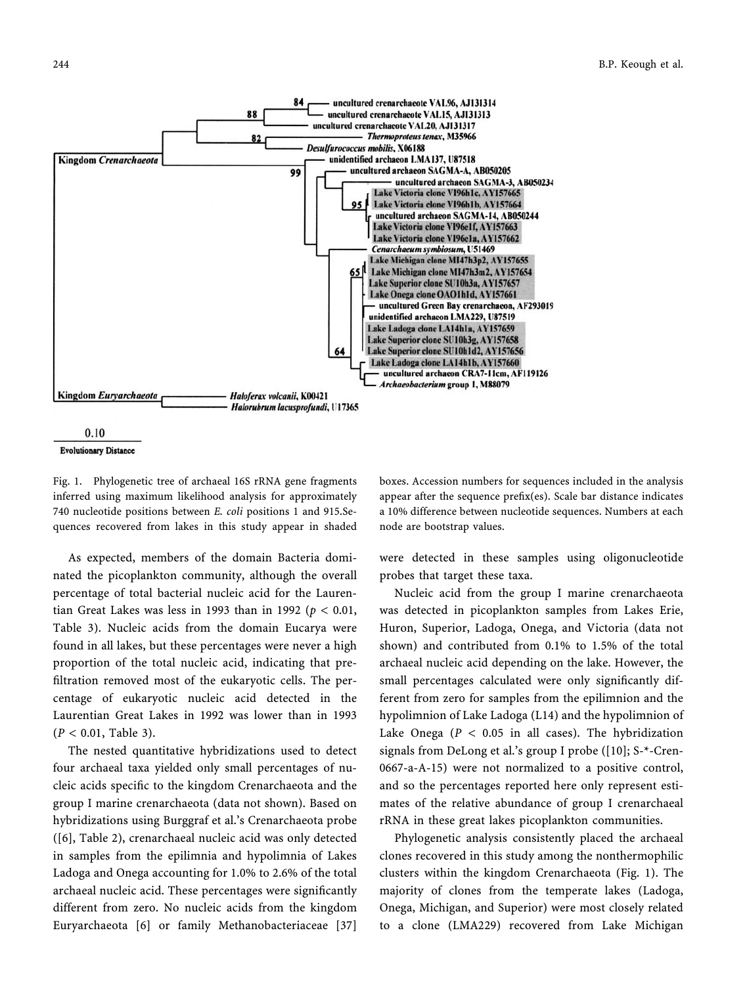



#### **Evolutionary Distance**

Fig. 1. Phylogenetic tree of archaeal 16S rRNA gene fragments inferred using maximum likelihood analysis for approximately 740 nucleotide positions between E. coli positions 1 and 915.Sequences recovered from lakes in this study appear in shaded

As expected, members of the domain Bacteria dominated the picoplankton community, although the overall percentage of total bacterial nucleic acid for the Laurentian Great Lakes was less in 1993 than in 1992 ( $p < 0.01$ , Table 3). Nucleic acids from the domain Eucarya were found in all lakes, but these percentages were never a high proportion of the total nucleic acid, indicating that prefiltration removed most of the eukaryotic cells. The percentage of eukaryotic nucleic acid detected in the Laurentian Great Lakes in 1992 was lower than in 1993  $(P < 0.01,$  Table 3).

The nested quantitative hybridizations used to detect four archaeal taxa yielded only small percentages of nucleic acids specific to the kingdom Crenarchaeota and the group I marine crenarchaeota (data not shown). Based on hybridizations using Burggraf et al.'s Crenarchaeota probe ([6], Table 2), crenarchaeal nucleic acid was only detected in samples from the epilimnia and hypolimnia of Lakes Ladoga and Onega accounting for 1.0% to 2.6% of the total archaeal nucleic acid. These percentages were significantly different from zero. No nucleic acids from the kingdom Euryarchaeota [6] or family Methanobacteriaceae [37] boxes. Accession numbers for sequences included in the analysis appear after the sequence prefix(es). Scale bar distance indicates a 10% difference between nucleotide sequences. Numbers at each node are bootstrap values.

were detected in these samples using oligonucleotide probes that target these taxa.

Nucleic acid from the group I marine crenarchaeota was detected in picoplankton samples from Lakes Erie, Huron, Superior, Ladoga, Onega, and Victoria (data not shown) and contributed from 0.1% to 1.5% of the total archaeal nucleic acid depending on the lake. However, the small percentages calculated were only significantly different from zero for samples from the epilimnion and the hypolimnion of Lake Ladoga (L14) and the hypolimnion of Lake Onega ( $P < 0.05$  in all cases). The hybridization signals from DeLong et al.'s group I probe ([10]; S-\*-Cren-0667-a-A-15) were not normalized to a positive control, and so the percentages reported here only represent estimates of the relative abundance of group I crenarchaeal rRNA in these great lakes picoplankton communities.

Phylogenetic analysis consistently placed the archaeal clones recovered in this study among the nonthermophilic clusters within the kingdom Crenarchaeota (Fig. 1). The majority of clones from the temperate lakes (Ladoga, Onega, Michigan, and Superior) were most closely related to a clone (LMA229) recovered from Lake Michigan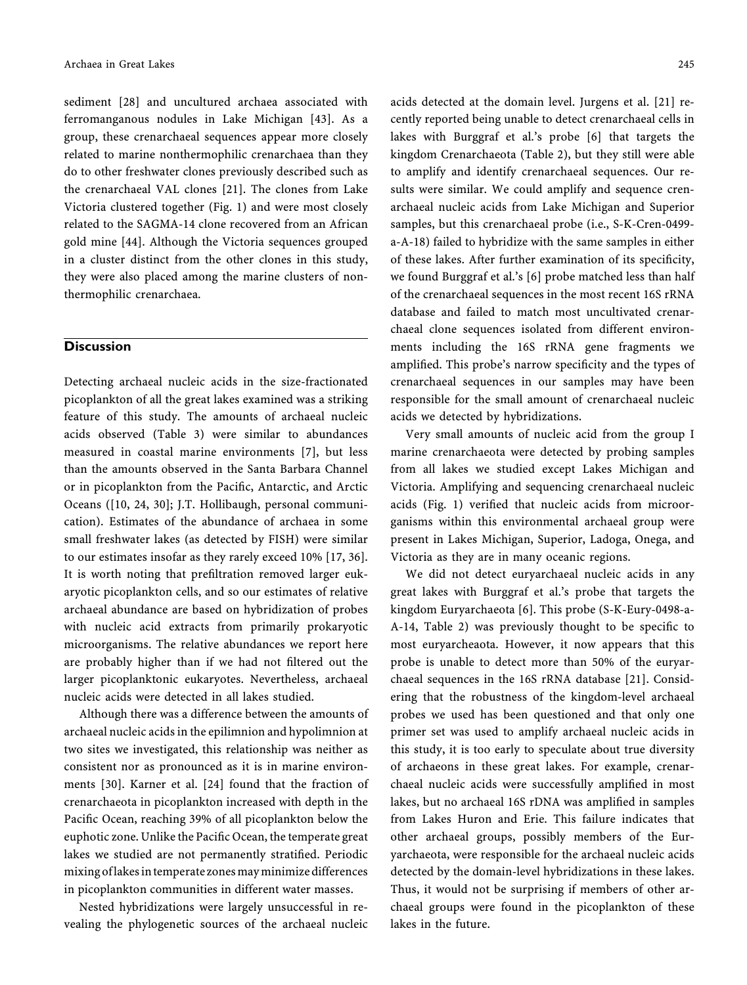sediment [28] and uncultured archaea associated with ferromanganous nodules in Lake Michigan [43]. As a group, these crenarchaeal sequences appear more closely related to marine nonthermophilic crenarchaea than they do to other freshwater clones previously described such as the crenarchaeal VAL clones [21]. The clones from Lake Victoria clustered together (Fig. 1) and were most closely related to the SAGMA-14 clone recovered from an African gold mine [44]. Although the Victoria sequences grouped in a cluster distinct from the other clones in this study, they were also placed among the marine clusters of nonthermophilic crenarchaea.

### **Discussion**

Detecting archaeal nucleic acids in the size-fractionated picoplankton of all the great lakes examined was a striking feature of this study. The amounts of archaeal nucleic acids observed (Table 3) were similar to abundances measured in coastal marine environments [7], but less than the amounts observed in the Santa Barbara Channel or in picoplankton from the Pacific, Antarctic, and Arctic Oceans ([10, 24, 30]; J.T. Hollibaugh, personal communication). Estimates of the abundance of archaea in some small freshwater lakes (as detected by FISH) were similar to our estimates insofar as they rarely exceed 10% [17, 36]. It is worth noting that prefiltration removed larger eukaryotic picoplankton cells, and so our estimates of relative archaeal abundance are based on hybridization of probes with nucleic acid extracts from primarily prokaryotic microorganisms. The relative abundances we report here are probably higher than if we had not filtered out the larger picoplanktonic eukaryotes. Nevertheless, archaeal nucleic acids were detected in all lakes studied.

Although there was a difference between the amounts of archaeal nucleic acids in the epilimnion and hypolimnion at two sites we investigated, this relationship was neither as consistent nor as pronounced as it is in marine environments [30]. Karner et al. [24] found that the fraction of crenarchaeota in picoplankton increased with depth in the Pacific Ocean, reaching 39% of all picoplankton below the euphotic zone. Unlike the Pacific Ocean, the temperate great lakes we studied are not permanently stratified. Periodic mixing of lakes in temperate zones may minimize differences in picoplankton communities in different water masses.

Nested hybridizations were largely unsuccessful in revealing the phylogenetic sources of the archaeal nucleic acids detected at the domain level. Jurgens et al. [21] recently reported being unable to detect crenarchaeal cells in lakes with Burggraf et al.'s probe [6] that targets the kingdom Crenarchaeota (Table 2), but they still were able to amplify and identify crenarchaeal sequences. Our results were similar. We could amplify and sequence crenarchaeal nucleic acids from Lake Michigan and Superior samples, but this crenarchaeal probe (i.e., S-K-Cren-0499 a-A-18) failed to hybridize with the same samples in either of these lakes. After further examination of its specificity, we found Burggraf et al.'s [6] probe matched less than half of the crenarchaeal sequences in the most recent 16S rRNA database and failed to match most uncultivated crenarchaeal clone sequences isolated from different environments including the 16S rRNA gene fragments we amplified. This probe's narrow specificity and the types of crenarchaeal sequences in our samples may have been responsible for the small amount of crenarchaeal nucleic acids we detected by hybridizations.

Very small amounts of nucleic acid from the group I marine crenarchaeota were detected by probing samples from all lakes we studied except Lakes Michigan and Victoria. Amplifying and sequencing crenarchaeal nucleic acids (Fig. 1) verified that nucleic acids from microorganisms within this environmental archaeal group were present in Lakes Michigan, Superior, Ladoga, Onega, and Victoria as they are in many oceanic regions.

We did not detect euryarchaeal nucleic acids in any great lakes with Burggraf et al.'s probe that targets the kingdom Euryarchaeota [6]. This probe (S-K-Eury-0498-a-A-14, Table 2) was previously thought to be specific to most euryarcheaota. However, it now appears that this probe is unable to detect more than 50% of the euryarchaeal sequences in the 16S rRNA database [21]. Considering that the robustness of the kingdom-level archaeal probes we used has been questioned and that only one primer set was used to amplify archaeal nucleic acids in this study, it is too early to speculate about true diversity of archaeons in these great lakes. For example, crenarchaeal nucleic acids were successfully amplified in most lakes, but no archaeal 16S rDNA was amplified in samples from Lakes Huron and Erie. This failure indicates that other archaeal groups, possibly members of the Euryarchaeota, were responsible for the archaeal nucleic acids detected by the domain-level hybridizations in these lakes. Thus, it would not be surprising if members of other archaeal groups were found in the picoplankton of these lakes in the future.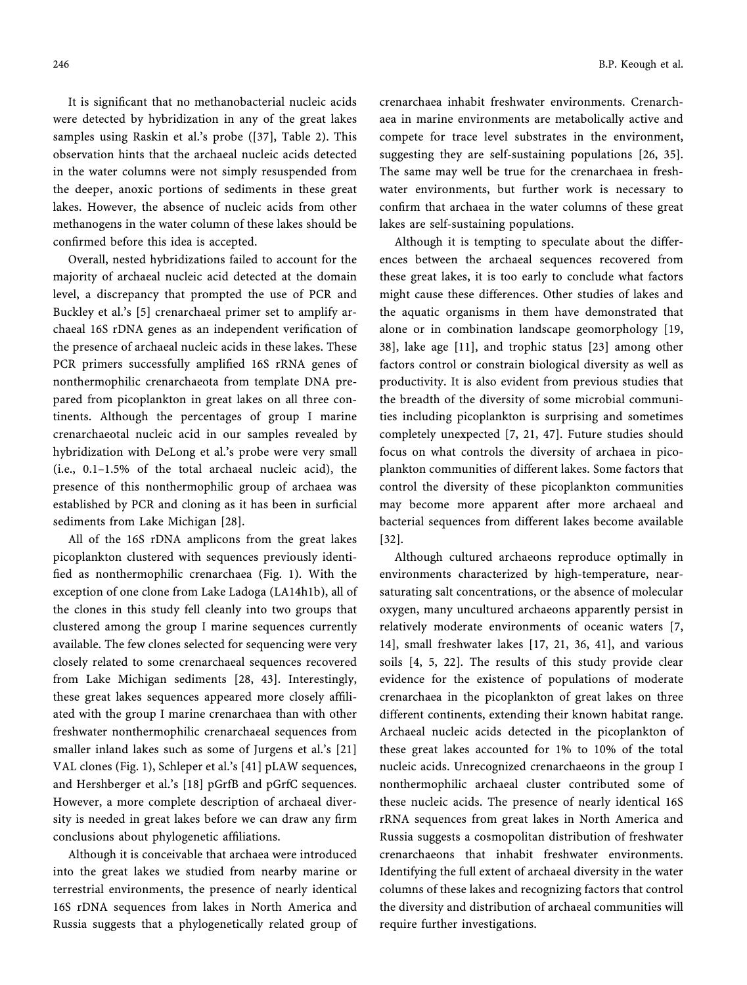It is significant that no methanobacterial nucleic acids were detected by hybridization in any of the great lakes samples using Raskin et al.'s probe ([37], Table 2). This observation hints that the archaeal nucleic acids detected in the water columns were not simply resuspended from the deeper, anoxic portions of sediments in these great lakes. However, the absence of nucleic acids from other methanogens in the water column of these lakes should be confirmed before this idea is accepted.

Overall, nested hybridizations failed to account for the majority of archaeal nucleic acid detected at the domain level, a discrepancy that prompted the use of PCR and Buckley et al.'s [5] crenarchaeal primer set to amplify archaeal 16S rDNA genes as an independent verification of the presence of archaeal nucleic acids in these lakes. These PCR primers successfully amplified 16S rRNA genes of nonthermophilic crenarchaeota from template DNA prepared from picoplankton in great lakes on all three continents. Although the percentages of group I marine crenarchaeotal nucleic acid in our samples revealed by hybridization with DeLong et al.'s probe were very small (i.e., 0.1–1.5% of the total archaeal nucleic acid), the presence of this nonthermophilic group of archaea was established by PCR and cloning as it has been in surficial sediments from Lake Michigan [28].

All of the 16S rDNA amplicons from the great lakes picoplankton clustered with sequences previously identified as nonthermophilic crenarchaea (Fig. 1). With the exception of one clone from Lake Ladoga (LA14h1b), all of the clones in this study fell cleanly into two groups that clustered among the group I marine sequences currently available. The few clones selected for sequencing were very closely related to some crenarchaeal sequences recovered from Lake Michigan sediments [28, 43]. Interestingly, these great lakes sequences appeared more closely affiliated with the group I marine crenarchaea than with other freshwater nonthermophilic crenarchaeal sequences from smaller inland lakes such as some of Jurgens et al.'s [21] VAL clones (Fig. 1), Schleper et al.'s [41] pLAW sequences, and Hershberger et al.'s [18] pGrfB and pGrfC sequences. However, a more complete description of archaeal diversity is needed in great lakes before we can draw any firm conclusions about phylogenetic affiliations.

Although it is conceivable that archaea were introduced into the great lakes we studied from nearby marine or terrestrial environments, the presence of nearly identical 16S rDNA sequences from lakes in North America and Russia suggests that a phylogenetically related group of

crenarchaea inhabit freshwater environments. Crenarchaea in marine environments are metabolically active and compete for trace level substrates in the environment, suggesting they are self-sustaining populations [26, 35]. The same may well be true for the crenarchaea in freshwater environments, but further work is necessary to confirm that archaea in the water columns of these great lakes are self-sustaining populations.

Although it is tempting to speculate about the differences between the archaeal sequences recovered from these great lakes, it is too early to conclude what factors might cause these differences. Other studies of lakes and the aquatic organisms in them have demonstrated that alone or in combination landscape geomorphology [19, 38], lake age [11], and trophic status [23] among other factors control or constrain biological diversity as well as productivity. It is also evident from previous studies that the breadth of the diversity of some microbial communities including picoplankton is surprising and sometimes completely unexpected [7, 21, 47]. Future studies should focus on what controls the diversity of archaea in picoplankton communities of different lakes. Some factors that control the diversity of these picoplankton communities may become more apparent after more archaeal and bacterial sequences from different lakes become available [32].

Although cultured archaeons reproduce optimally in environments characterized by high-temperature, nearsaturating salt concentrations, or the absence of molecular oxygen, many uncultured archaeons apparently persist in relatively moderate environments of oceanic waters [7, 14], small freshwater lakes [17, 21, 36, 41], and various soils [4, 5, 22]. The results of this study provide clear evidence for the existence of populations of moderate crenarchaea in the picoplankton of great lakes on three different continents, extending their known habitat range. Archaeal nucleic acids detected in the picoplankton of these great lakes accounted for 1% to 10% of the total nucleic acids. Unrecognized crenarchaeons in the group I nonthermophilic archaeal cluster contributed some of these nucleic acids. The presence of nearly identical 16S rRNA sequences from great lakes in North America and Russia suggests a cosmopolitan distribution of freshwater crenarchaeons that inhabit freshwater environments. Identifying the full extent of archaeal diversity in the water columns of these lakes and recognizing factors that control the diversity and distribution of archaeal communities will require further investigations.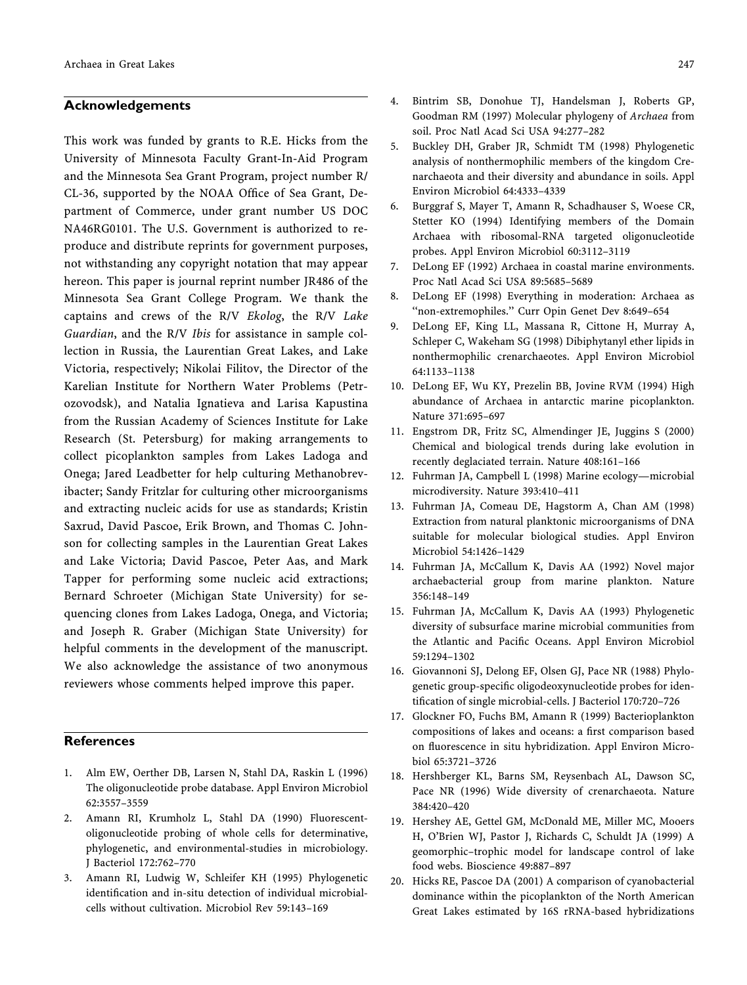## Acknowledgements

This work was funded by grants to R.E. Hicks from the University of Minnesota Faculty Grant-In-Aid Program and the Minnesota Sea Grant Program, project number R/ CL-36, supported by the NOAA Office of Sea Grant, Department of Commerce, under grant number US DOC NA46RG0101. The U.S. Government is authorized to reproduce and distribute reprints for government purposes, not withstanding any copyright notation that may appear hereon. This paper is journal reprint number JR486 of the Minnesota Sea Grant College Program. We thank the captains and crews of the R/V Ekolog, the R/V Lake Guardian, and the R/V Ibis for assistance in sample collection in Russia, the Laurentian Great Lakes, and Lake Victoria, respectively; Nikolai Filitov, the Director of the Karelian Institute for Northern Water Problems (Petrozovodsk), and Natalia Ignatieva and Larisa Kapustina from the Russian Academy of Sciences Institute for Lake Research (St. Petersburg) for making arrangements to collect picoplankton samples from Lakes Ladoga and Onega; Jared Leadbetter for help culturing Methanobrevibacter; Sandy Fritzlar for culturing other microorganisms and extracting nucleic acids for use as standards; Kristin Saxrud, David Pascoe, Erik Brown, and Thomas C. Johnson for collecting samples in the Laurentian Great Lakes and Lake Victoria; David Pascoe, Peter Aas, and Mark Tapper for performing some nucleic acid extractions; Bernard Schroeter (Michigan State University) for sequencing clones from Lakes Ladoga, Onega, and Victoria; and Joseph R. Graber (Michigan State University) for helpful comments in the development of the manuscript. We also acknowledge the assistance of two anonymous reviewers whose comments helped improve this paper.

## **References**

- 1. Alm EW, Oerther DB, Larsen N, Stahl DA, Raskin L (1996) The oligonucleotide probe database. Appl Environ Microbiol 62:3557–3559
- 2. Amann RI, Krumholz L, Stahl DA (1990) Fluorescentoligonucleotide probing of whole cells for determinative, phylogenetic, and environmental-studies in microbiology. J Bacteriol 172:762–770
- 3. Amann RI, Ludwig W, Schleifer KH (1995) Phylogenetic identification and in-situ detection of individual microbialcells without cultivation. Microbiol Rev 59:143–169
- 4. Bintrim SB, Donohue TJ, Handelsman J, Roberts GP, Goodman RM (1997) Molecular phylogeny of Archaea from soil. Proc Natl Acad Sci USA 94:277–282
- 5. Buckley DH, Graber JR, Schmidt TM (1998) Phylogenetic analysis of nonthermophilic members of the kingdom Crenarchaeota and their diversity and abundance in soils. Appl Environ Microbiol 64:4333–4339
- 6. Burggraf S, Mayer T, Amann R, Schadhauser S, Woese CR, Stetter KO (1994) Identifying members of the Domain Archaea with ribosomal-RNA targeted oligonucleotide probes. Appl Environ Microbiol 60:3112–3119
- 7. DeLong EF (1992) Archaea in coastal marine environments. Proc Natl Acad Sci USA 89:5685–5689
- 8. DeLong EF (1998) Everything in moderation: Archaea as ''non-extremophiles.'' Curr Opin Genet Dev 8:649–654
- 9. DeLong EF, King LL, Massana R, Cittone H, Murray A, Schleper C, Wakeham SG (1998) Dibiphytanyl ether lipids in nonthermophilic crenarchaeotes. Appl Environ Microbiol 64:1133–1138
- 10. DeLong EF, Wu KY, Prezelin BB, Jovine RVM (1994) High abundance of Archaea in antarctic marine picoplankton. Nature 371:695–697
- 11. Engstrom DR, Fritz SC, Almendinger JE, Juggins S (2000) Chemical and biological trends during lake evolution in recently deglaciated terrain. Nature 408:161–166
- 12. Fuhrman JA, Campbell L (1998) Marine ecology—microbial microdiversity. Nature 393:410–411
- 13. Fuhrman JA, Comeau DE, Hagstorm A, Chan AM (1998) Extraction from natural planktonic microorganisms of DNA suitable for molecular biological studies. Appl Environ Microbiol 54:1426–1429
- 14. Fuhrman JA, McCallum K, Davis AA (1992) Novel major archaebacterial group from marine plankton. Nature 356:148–149
- 15. Fuhrman JA, McCallum K, Davis AA (1993) Phylogenetic diversity of subsurface marine microbial communities from the Atlantic and Pacific Oceans. Appl Environ Microbiol 59:1294–1302
- 16. Giovannoni SJ, Delong EF, Olsen GJ, Pace NR (1988) Phylogenetic group-specific oligodeoxynucleotide probes for identification of single microbial-cells. J Bacteriol 170:720–726
- 17. Glockner FO, Fuchs BM, Amann R (1999) Bacterioplankton compositions of lakes and oceans: a first comparison based on fluorescence in situ hybridization. Appl Environ Microbiol 65:3721–3726
- 18. Hershberger KL, Barns SM, Reysenbach AL, Dawson SC, Pace NR (1996) Wide diversity of crenarchaeota. Nature 384:420–420
- 19. Hershey AE, Gettel GM, McDonald ME, Miller MC, Mooers H, O'Brien WJ, Pastor J, Richards C, Schuldt JA (1999) A geomorphic–trophic model for landscape control of lake food webs. Bioscience 49:887–897
- 20. Hicks RE, Pascoe DA (2001) A comparison of cyanobacterial dominance within the picoplankton of the North American Great Lakes estimated by 16S rRNA-based hybridizations